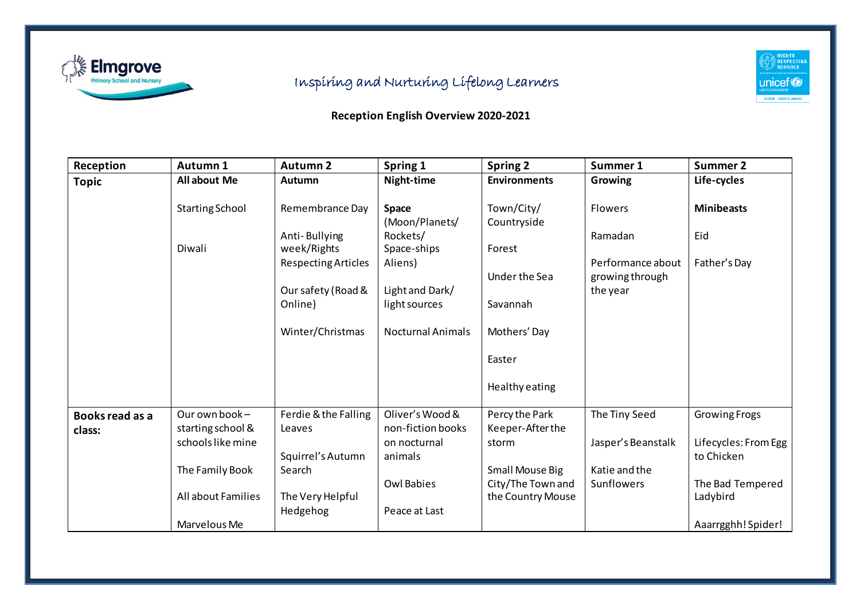

## Inspiring and Nurturing Lifelong Learners

## RIGHTS<br>RESPECTING<br>SCHOOLS  $\mathop{\mathsf{unicof}}\limits_{\mathsf{UNITED} \text{ KINGDOM}}$ SILVER – RIGHTS AWARE

## **Reception English Overview 2020-2021**

| Reception       | Autumn 1               | <b>Autumn 2</b>            | Spring 1                 | <b>Spring 2</b>     | Summer 1           | Summer 2             |
|-----------------|------------------------|----------------------------|--------------------------|---------------------|--------------------|----------------------|
| <b>Topic</b>    | <b>All about Me</b>    | Autumn                     | Night-time               | <b>Environments</b> | Growing            | Life-cycles          |
|                 |                        |                            |                          |                     |                    |                      |
|                 | <b>Starting School</b> | Remembrance Day            | Space                    | Town/City/          | <b>Flowers</b>     | <b>Minibeasts</b>    |
|                 |                        |                            | (Moon/Planets/           | Countryside         |                    |                      |
|                 |                        | Anti-Bullying              | Rockets/                 |                     | Ramadan            | Eid                  |
|                 | Diwali                 | week/Rights                | Space-ships              | Forest              |                    |                      |
|                 |                        | <b>Respecting Articles</b> | Aliens)                  |                     | Performance about  | Father's Day         |
|                 |                        |                            |                          | Under the Sea       | growing through    |                      |
|                 |                        | Our safety (Road &         | Light and Dark/          |                     | the year           |                      |
|                 |                        | Online)                    | light sources            | Savannah            |                    |                      |
|                 |                        |                            |                          |                     |                    |                      |
|                 |                        | Winter/Christmas           | <b>Nocturnal Animals</b> | Mothers' Day        |                    |                      |
|                 |                        |                            |                          |                     |                    |                      |
|                 |                        |                            |                          | Easter              |                    |                      |
|                 |                        |                            |                          |                     |                    |                      |
|                 |                        |                            |                          | Healthy eating      |                    |                      |
|                 |                        |                            |                          |                     |                    |                      |
| Books read as a | Our own book-          | Ferdie & the Falling       | Oliver's Wood &          | Percy the Park      | The Tiny Seed      | Growing Frogs        |
| class:          | starting school &      | Leaves                     | non-fiction books        | Keeper-After the    |                    |                      |
|                 | schools like mine      |                            | on nocturnal             | storm               | Jasper's Beanstalk | Lifecycles: From Egg |
|                 |                        | Squirrel's Autumn          | animals                  |                     |                    | to Chicken           |
|                 | The Family Book        | Search                     |                          | Small Mouse Big     | Katie and the      |                      |
|                 |                        |                            | <b>Owl Babies</b>        | City/The Town and   | Sunflowers         | The Bad Tempered     |
|                 | All about Families     | The Very Helpful           |                          | the Country Mouse   |                    | Ladybird             |
|                 |                        | Hedgehog                   | Peace at Last            |                     |                    |                      |
|                 | Marvelous Me           |                            |                          |                     |                    | Aaarrgghh! Spider!   |